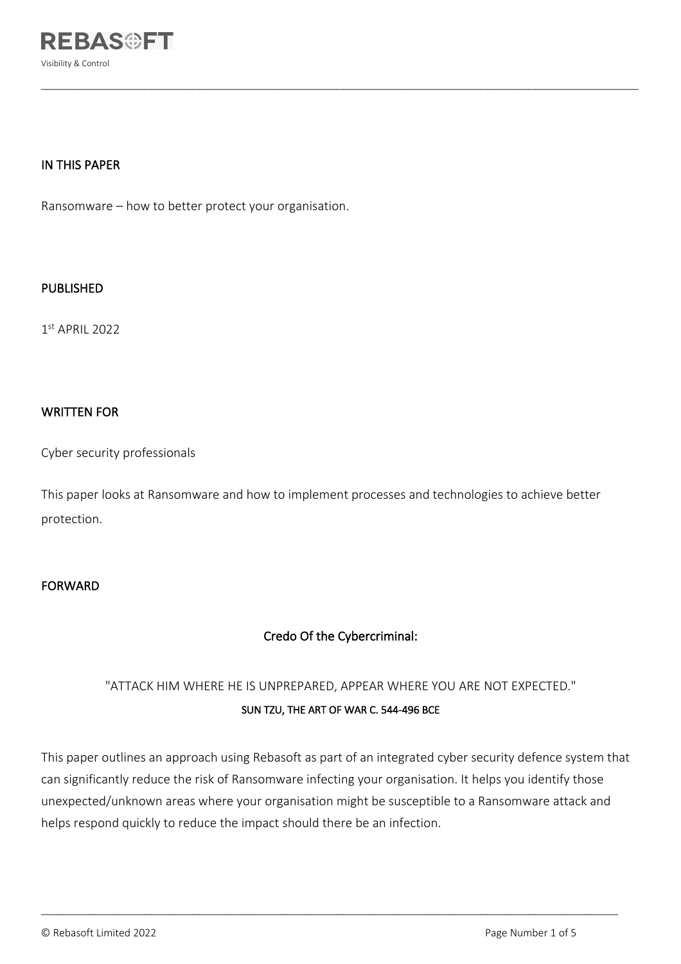

## IN THIS PAPER

Ransomware – how to better protect your organisation.

## PUBLISHED

1st APRIL 2022

## WRITTEN FOR

Cyber security professionals

This paper looks at Ransomware and how to implement processes and technologies to achieve better protection.

 $\mathcal{L}_\mathcal{L} = \mathcal{L}_\mathcal{L} = \mathcal{L}_\mathcal{L} = \mathcal{L}_\mathcal{L} = \mathcal{L}_\mathcal{L} = \mathcal{L}_\mathcal{L} = \mathcal{L}_\mathcal{L} = \mathcal{L}_\mathcal{L} = \mathcal{L}_\mathcal{L} = \mathcal{L}_\mathcal{L} = \mathcal{L}_\mathcal{L} = \mathcal{L}_\mathcal{L} = \mathcal{L}_\mathcal{L} = \mathcal{L}_\mathcal{L} = \mathcal{L}_\mathcal{L} = \mathcal{L}_\mathcal{L} = \mathcal{L}_\mathcal{L}$ 

## FORWARD

# Credo Of the Cybercriminal:

# "ATTACK HIM WHERE HE IS UNPREPARED, APPEAR WHERE YOU ARE NOT EXPECTED." SUN TZU, THE ART OF WAR C. 544-496 BCE

This paper outlines an approach using Rebasoft as part of an integrated cyber security defence system that can significantly reduce the risk of Ransomware infecting your organisation. It helps you identify those unexpected/unknown areas where your organisation might be susceptible to a Ransomware attack and helps respond quickly to reduce the impact should there be an infection.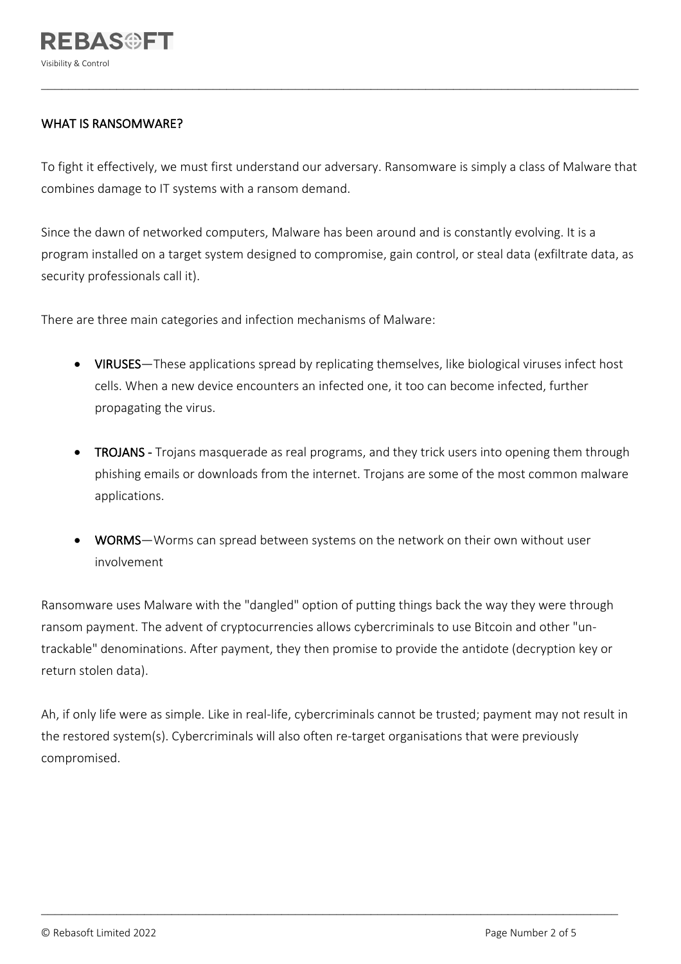# WHAT IS RANSOMWARE?

To fight it effectively, we must first understand our adversary. Ransomware is simply a class of Malware that combines damage to IT systems with a ransom demand.

 $\mathcal{L}_\mathcal{L} = \mathcal{L}_\mathcal{L} = \mathcal{L}_\mathcal{L} = \mathcal{L}_\mathcal{L} = \mathcal{L}_\mathcal{L} = \mathcal{L}_\mathcal{L} = \mathcal{L}_\mathcal{L} = \mathcal{L}_\mathcal{L} = \mathcal{L}_\mathcal{L} = \mathcal{L}_\mathcal{L} = \mathcal{L}_\mathcal{L} = \mathcal{L}_\mathcal{L} = \mathcal{L}_\mathcal{L} = \mathcal{L}_\mathcal{L} = \mathcal{L}_\mathcal{L} = \mathcal{L}_\mathcal{L} = \mathcal{L}_\mathcal{L}$ 

Since the dawn of networked computers, Malware has been around and is constantly evolving. It is a program installed on a target system designed to compromise, gain control, or steal data (exfiltrate data, as security professionals call it).

There are three main categories and infection mechanisms of Malware:

- VIRUSES—These applications spread by replicating themselves, like biological viruses infect host cells. When a new device encounters an infected one, it too can become infected, further propagating the virus.
- TROJANS Trojans masquerade as real programs, and they trick users into opening them through phishing emails or downloads from the internet. Trojans are some of the most common malware applications.
- WORMS—Worms can spread between systems on the network on their own without user involvement

Ransomware uses Malware with the "dangled" option of putting things back the way they were through ransom payment. The advent of cryptocurrencies allows cybercriminals to use Bitcoin and other "untrackable" denominations. After payment, they then promise to provide the antidote (decryption key or return stolen data).

Ah, if only life were as simple. Like in real-life, cybercriminals cannot be trusted; payment may not result in the restored system(s). Cybercriminals will also often re-target organisations that were previously compromised.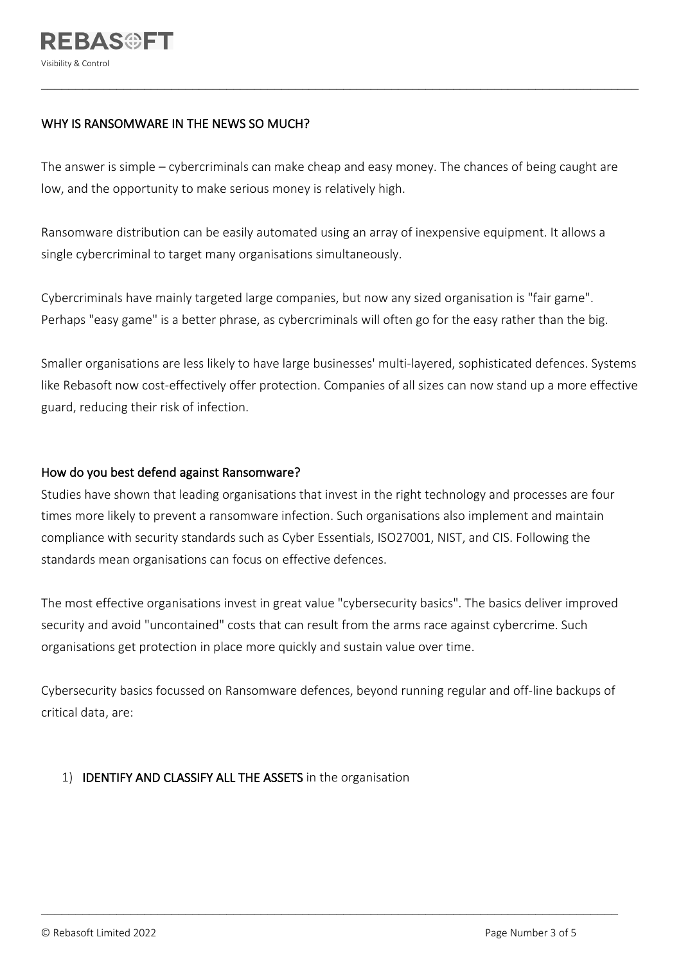## WHY IS RANSOMWARE IN THE NEWS SO MUCH?

The answer is simple – cybercriminals can make cheap and easy money. The chances of being caught are low, and the opportunity to make serious money is relatively high.

 $\mathcal{L}_\mathcal{L} = \mathcal{L}_\mathcal{L} = \mathcal{L}_\mathcal{L} = \mathcal{L}_\mathcal{L} = \mathcal{L}_\mathcal{L} = \mathcal{L}_\mathcal{L} = \mathcal{L}_\mathcal{L} = \mathcal{L}_\mathcal{L} = \mathcal{L}_\mathcal{L} = \mathcal{L}_\mathcal{L} = \mathcal{L}_\mathcal{L} = \mathcal{L}_\mathcal{L} = \mathcal{L}_\mathcal{L} = \mathcal{L}_\mathcal{L} = \mathcal{L}_\mathcal{L} = \mathcal{L}_\mathcal{L} = \mathcal{L}_\mathcal{L}$ 

Ransomware distribution can be easily automated using an array of inexpensive equipment. It allows a single cybercriminal to target many organisations simultaneously.

Cybercriminals have mainly targeted large companies, but now any sized organisation is "fair game". Perhaps "easy game" is a better phrase, as cybercriminals will often go for the easy rather than the big.

Smaller organisations are less likely to have large businesses' multi-layered, sophisticated defences. Systems like Rebasoft now cost-effectively offer protection. Companies of all sizes can now stand up a more effective guard, reducing their risk of infection.

## How do you best defend against Ransomware?

Studies have shown that leading organisations that invest in the right technology and processes are four times more likely to prevent a ransomware infection. Such organisations also implement and maintain compliance with security standards such as Cyber Essentials, ISO27001, NIST, and CIS. Following the standards mean organisations can focus on effective defences.

The most effective organisations invest in great value "cybersecurity basics". The basics deliver improved security and avoid "uncontained" costs that can result from the arms race against cybercrime. Such organisations get protection in place more quickly and sustain value over time.

Cybersecurity basics focussed on Ransomware defences, beyond running regular and off-line backups of critical data, are:

# 1) IDENTIFY AND CLASSIFY ALL THE ASSETS in the organisation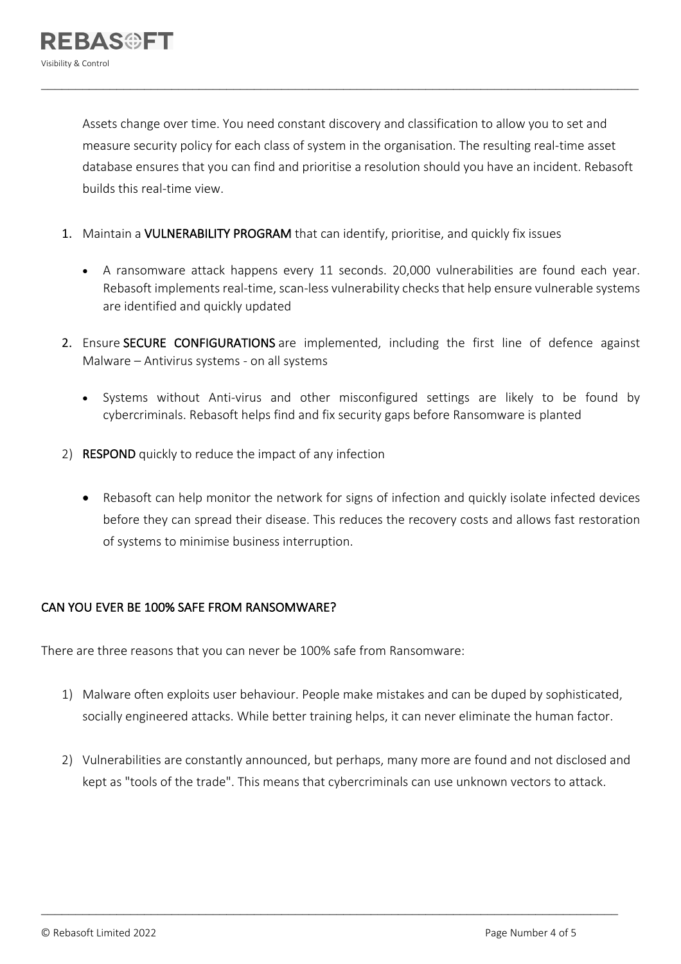Assets change over time. You need constant discovery and classification to allow you to set and measure security policy for each class of system in the organisation. The resulting real-time asset database ensures that you can find and prioritise a resolution should you have an incident. Rebasoft builds this real-time view.

 $\mathcal{L}_\mathcal{L} = \mathcal{L}_\mathcal{L} = \mathcal{L}_\mathcal{L} = \mathcal{L}_\mathcal{L} = \mathcal{L}_\mathcal{L} = \mathcal{L}_\mathcal{L} = \mathcal{L}_\mathcal{L} = \mathcal{L}_\mathcal{L} = \mathcal{L}_\mathcal{L} = \mathcal{L}_\mathcal{L} = \mathcal{L}_\mathcal{L} = \mathcal{L}_\mathcal{L} = \mathcal{L}_\mathcal{L} = \mathcal{L}_\mathcal{L} = \mathcal{L}_\mathcal{L} = \mathcal{L}_\mathcal{L} = \mathcal{L}_\mathcal{L}$ 

- 1. Maintain a VULNERABILITY PROGRAM that can identify, prioritise, and quickly fix issues
	- A ransomware attack happens every 11 seconds. 20,000 vulnerabilities are found each year. Rebasoft implements real-time, scan-less vulnerability checks that help ensure vulnerable systems are identified and quickly updated
- 2. Ensure SECURE CONFIGURATIONS are implemented, including the first line of defence against Malware – Antivirus systems - on all systems
	- Systems without Anti-virus and other misconfigured settings are likely to be found by cybercriminals. Rebasoft helps find and fix security gaps before Ransomware is planted
- 2) RESPOND quickly to reduce the impact of any infection
	- Rebasoft can help monitor the network for signs of infection and quickly isolate infected devices before they can spread their disease. This reduces the recovery costs and allows fast restoration of systems to minimise business interruption.

# CAN YOU EVER BE 100% SAFE FROM RANSOMWARE?

There are three reasons that you can never be 100% safe from Ransomware:

- 1) Malware often exploits user behaviour. People make mistakes and can be duped by sophisticated, socially engineered attacks. While better training helps, it can never eliminate the human factor.
- 2) Vulnerabilities are constantly announced, but perhaps, many more are found and not disclosed and kept as "tools of the trade". This means that cybercriminals can use unknown vectors to attack.